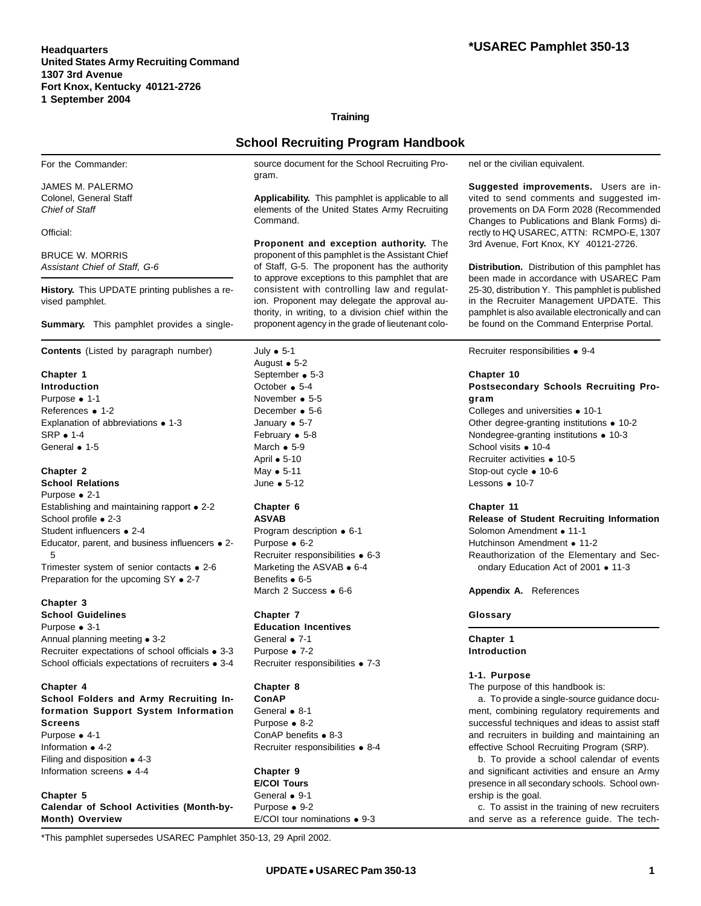# **Training**

# **School Recruiting Program Handbook**

For the Commander:

JAMES M. PALERMO Colonel, General Staff *Chief of Staff*

Official:

BRUCE W. MORRIS *Assistant Chief of Staff, G-6*

**History.** This UPDATE printing publishes a revised pamphlet.

**Summary.** This pamphlet provides a single-

**Contents** (Listed by paragraph number)

**Chapter 1 Introduction** Purpose **•** 1-1 References **•** 1-2 Explanation of abbreviations **•** 1-3 SRP **•** 1-4 General **•** 1-5

**Chapter 2 School Relations** Purpose **•** 2-1 Establishing and maintaining rapport **•** 2-2 School profile **•** 2-3 Student influencers **•** 2-4 Educator, parent, and business influencers **•** 2- 5 Trimester system of senior contacts **•** 2-6 Preparation for the upcoming SY **•** 2-7

# **Chapter 3**

**School Guidelines** Purpose **•** 3-1 Annual planning meeting **•** 3-2 Recruiter expectations of school officials **•** 3-3 School officials expectations of recruiters **•** 3-4

**Chapter 4**

**School Folders and Army Recruiting Information Support System Information Screens** Purpose **•** 4-1 Information **•** 4-2 Filing and disposition **•** 4-3 Information screens • 4-4

**Chapter 5 Calendar of School Activities (Month-by-Month) Overview**

\*This pamphlet supersedes USAREC Pamphlet 350-13, 29 April 2002.

source document for the School Recruiting Program.

**Applicability.** This pamphlet is applicable to all elements of the United States Army Recruiting Command.

**Proponent and exception authority.** The proponent of this pamphlet is the Assistant Chief of Staff, G-5. The proponent has the authority to approve exceptions to this pamphlet that are consistent with controlling law and regulation. Proponent may delegate the approval authority, in writing, to a division chief within the proponent agency in the grade of lieutenant colo-

July **•** 5-1 August **•** 5-2 September **•** 5-3 October **•** 5-4 November **•** 5-5 December **•** 5-6 January **•** 5-7 February **•** 5-8 March **•** 5-9 April **•** 5-10 May **•** 5-11 June **•** 5-12

#### **Chapter 6 ASVAB**

Program description **•** 6-1 Purpose **•** 6-2 Recruiter responsibilities **•** 6-3 Marketing the ASVAB **•** 6-4 Benefits **•** 6-5 March 2 Success **•** 6-6

# **Chapter 7**

**Education Incentives** General **•** 7-1 Purpose **•** 7-2 Recruiter responsibilities **•** 7-3

# **Chapter 8**

**ConAP** General **•** 8-1 Purpose **•** 8-2 ConAP benefits **•** 8-3 Recruiter responsibilities **•** 8-4

**Chapter 9 E/COI Tours** General **•** 9-1 Purpose **•** 9-2 E/COI tour nominations **•** 9-3 nel or the civilian equivalent.

**Suggested improvements.** Users are invited to send comments and suggested improvements on DA Form 2028 (Recommended Changes to Publications and Blank Forms) directly to HQ USAREC, ATTN: RCMPO-E, 1307 3rd Avenue, Fort Knox, KY 40121-2726.

**Distribution.** Distribution of this pamphlet has been made in accordance with USAREC Pam 25-30, distribution Y. This pamphlet is published in the Recruiter Management UPDATE. This pamphlet is also available electronically and can be found on the Command Enterprise Portal.

Recruiter responsibilities **•** 9-4

# **Chapter 10**

# **Postsecondary Schools Recruiting Program**

Colleges and universities **•** 10-1 Other degree-granting institutions **•** 10-2 Nondegree-granting institutions **•** 10-3 School visits **•** 10-4 Recruiter activities **•** 10-5 Stop-out cycle **•** 10-6 Lessons **•** 10-7

# **Chapter 11**

**Release of Student Recruiting Information** Solomon Amendment • 11-1 Hutchinson Amendment • 11-2 Reauthorization of the Elementary and Secondary Education Act of 2001 • 11-3

**Appendix A.** References

# **Glossary**

**Chapter 1 Introduction**

### **1-1. Purpose**

The purpose of this handbook is:

a. To provide a single-source guidance document, combining regulatory requirements and successful techniques and ideas to assist staff and recruiters in building and maintaining an effective School Recruiting Program (SRP).

b. To provide a school calendar of events and significant activities and ensure an Army presence in all secondary schools. School ownership is the goal.

c. To assist in the training of new recruiters and serve as a reference guide. The tech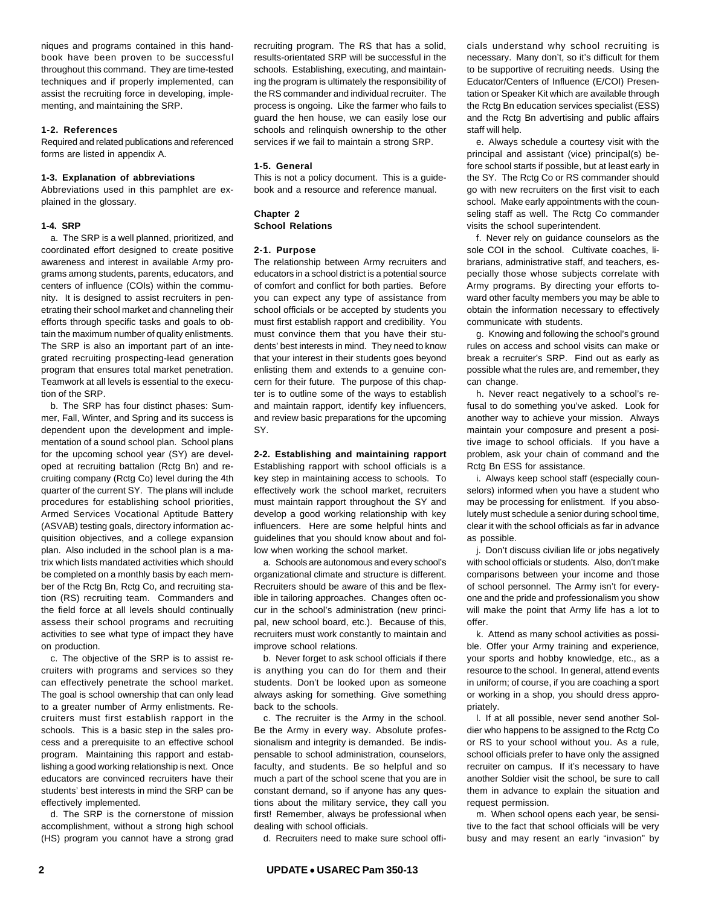niques and programs contained in this handbook have been proven to be successful throughout this command. They are time-tested techniques and if properly implemented, can assist the recruiting force in developing, implementing, and maintaining the SRP.

# **1-2. References**

Required and related publications and referenced forms are listed in appendix A.

### **1-3. Explanation of abbreviations**

Abbreviations used in this pamphlet are explained in the glossary.

#### **1-4. SRP**

a. The SRP is a well planned, prioritized, and coordinated effort designed to create positive awareness and interest in available Army programs among students, parents, educators, and centers of influence (COIs) within the community. It is designed to assist recruiters in penetrating their school market and channeling their efforts through specific tasks and goals to obtain the maximum number of quality enlistments. The SRP is also an important part of an integrated recruiting prospecting-lead generation program that ensures total market penetration. Teamwork at all levels is essential to the execution of the SRP.

b. The SRP has four distinct phases: Summer, Fall, Winter, and Spring and its success is dependent upon the development and implementation of a sound school plan. School plans for the upcoming school year (SY) are developed at recruiting battalion (Rctg Bn) and recruiting company (Rctg Co) level during the 4th quarter of the current SY. The plans will include procedures for establishing school priorities, Armed Services Vocational Aptitude Battery (ASVAB) testing goals, directory information acquisition objectives, and a college expansion plan. Also included in the school plan is a matrix which lists mandated activities which should be completed on a monthly basis by each member of the Rctg Bn, Rctg Co, and recruiting station (RS) recruiting team. Commanders and the field force at all levels should continually assess their school programs and recruiting activities to see what type of impact they have on production.

c. The objective of the SRP is to assist recruiters with programs and services so they can effectively penetrate the school market. The goal is school ownership that can only lead to a greater number of Army enlistments. Recruiters must first establish rapport in the schools. This is a basic step in the sales process and a prerequisite to an effective school program. Maintaining this rapport and establishing a good working relationship is next. Once educators are convinced recruiters have their students' best interests in mind the SRP can be effectively implemented.

d. The SRP is the cornerstone of mission accomplishment, without a strong high school (HS) program you cannot have a strong grad recruiting program. The RS that has a solid, results-orientated SRP will be successful in the schools. Establishing, executing, and maintaining the program is ultimately the responsibility of the RS commander and individual recruiter. The process is ongoing. Like the farmer who fails to guard the hen house, we can easily lose our schools and relinquish ownership to the other services if we fail to maintain a strong SRP.

# **1-5. General**

This is not a policy document. This is a guidebook and a resource and reference manual.

### **Chapter 2 School Relations**

#### **2-1. Purpose**

The relationship between Army recruiters and educators in a school district is a potential source of comfort and conflict for both parties. Before you can expect any type of assistance from school officials or be accepted by students you must first establish rapport and credibility. You must convince them that you have their students' best interests in mind. They need to know that your interest in their students goes beyond enlisting them and extends to a genuine concern for their future. The purpose of this chapter is to outline some of the ways to establish and maintain rapport, identify key influencers, and review basic preparations for the upcoming SY.

# **2-2. Establishing and maintaining rapport** Establishing rapport with school officials is a key step in maintaining access to schools. To

effectively work the school market, recruiters must maintain rapport throughout the SY and develop a good working relationship with key influencers. Here are some helpful hints and guidelines that you should know about and follow when working the school market.

a. Schools are autonomous and every school's organizational climate and structure is different. Recruiters should be aware of this and be flexible in tailoring approaches. Changes often occur in the school's administration (new principal, new school board, etc.). Because of this, recruiters must work constantly to maintain and improve school relations.

b. Never forget to ask school officials if there is anything you can do for them and their students. Don't be looked upon as someone always asking for something. Give something back to the schools.

c. The recruiter is the Army in the school. Be the Army in every way. Absolute professionalism and integrity is demanded. Be indispensable to school administration, counselors, faculty, and students. Be so helpful and so much a part of the school scene that you are in constant demand, so if anyone has any questions about the military service, they call you first! Remember, always be professional when dealing with school officials.

d. Recruiters need to make sure school offi-

cials understand why school recruiting is necessary. Many don't, so it's difficult for them to be supportive of recruiting needs. Using the Educator/Centers of Influence (E/COI) Presentation or Speaker Kit which are available through the Rctg Bn education services specialist (ESS) and the Rctg Bn advertising and public affairs staff will help.

e. Always schedule a courtesy visit with the principal and assistant (vice) principal(s) before school starts if possible, but at least early in the SY. The Rctg Co or RS commander should go with new recruiters on the first visit to each school. Make early appointments with the counseling staff as well. The Rctg Co commander visits the school superintendent.

f. Never rely on guidance counselors as the sole COI in the school. Cultivate coaches, librarians, administrative staff, and teachers, especially those whose subjects correlate with Army programs. By directing your efforts toward other faculty members you may be able to obtain the information necessary to effectively communicate with students.

g. Knowing and following the school's ground rules on access and school visits can make or break a recruiter's SRP. Find out as early as possible what the rules are, and remember, they can change.

h. Never react negatively to a school's refusal to do something you've asked. Look for another way to achieve your mission. Always maintain your composure and present a positive image to school officials. If you have a problem, ask your chain of command and the Rctg Bn ESS for assistance.

i. Always keep school staff (especially counselors) informed when you have a student who may be processing for enlistment. If you absolutely must schedule a senior during school time, clear it with the school officials as far in advance as possible.

j. Don't discuss civilian life or jobs negatively with school officials or students. Also, don't make comparisons between your income and those of school personnel. The Army isn't for everyone and the pride and professionalism you show will make the point that Army life has a lot to offer.

k. Attend as many school activities as possible. Offer your Army training and experience, your sports and hobby knowledge, etc., as a resource to the school. In general, attend events in uniform; of course, if you are coaching a sport or working in a shop, you should dress appropriately.

l. If at all possible, never send another Soldier who happens to be assigned to the Rctg Co or RS to your school without you. As a rule, school officials prefer to have only the assigned recruiter on campus. If it's necessary to have another Soldier visit the school, be sure to call them in advance to explain the situation and request permission.

m. When school opens each year, be sensitive to the fact that school officials will be very busy and may resent an early "invasion" by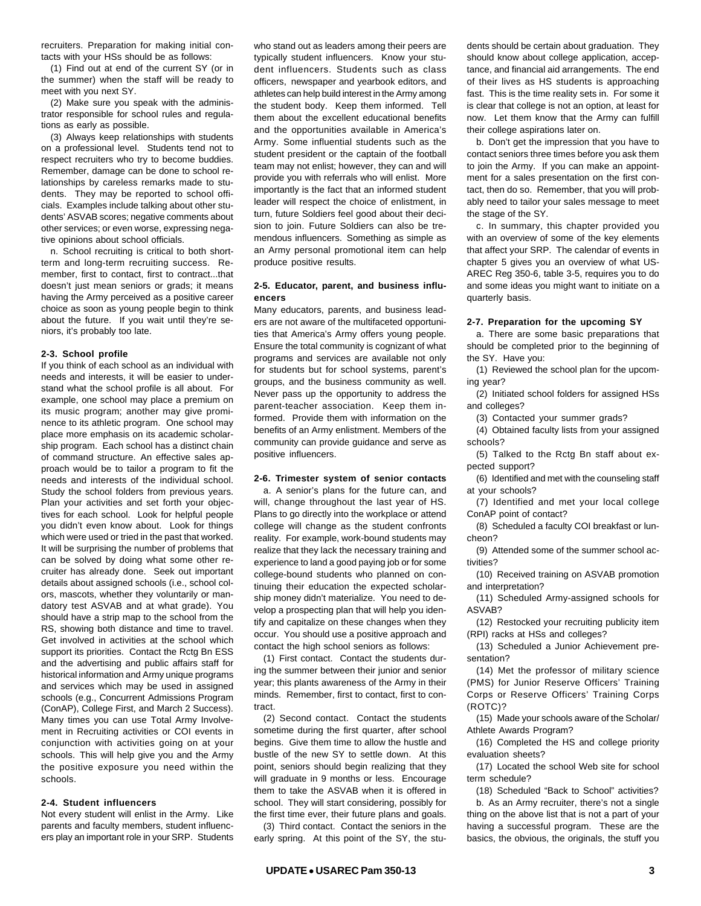recruiters. Preparation for making initial contacts with your HSs should be as follows:

(1) Find out at end of the current SY (or in the summer) when the staff will be ready to meet with you next SY.

(2) Make sure you speak with the administrator responsible for school rules and regulations as early as possible.

(3) Always keep relationships with students on a professional level. Students tend not to respect recruiters who try to become buddies. Remember, damage can be done to school relationships by careless remarks made to students. They may be reported to school officials. Examples include talking about other students' ASVAB scores; negative comments about other services; or even worse, expressing negative opinions about school officials.

n. School recruiting is critical to both shortterm and long-term recruiting success. Remember, first to contact, first to contract...that doesn't just mean seniors or grads; it means having the Army perceived as a positive career choice as soon as young people begin to think about the future. If you wait until they're seniors, it's probably too late.

### **2-3. School profile**

If you think of each school as an individual with needs and interests, it will be easier to understand what the school profile is all about. For example, one school may place a premium on its music program; another may give prominence to its athletic program. One school may place more emphasis on its academic scholarship program. Each school has a distinct chain of command structure. An effective sales approach would be to tailor a program to fit the needs and interests of the individual school. Study the school folders from previous years. Plan your activities and set forth your objectives for each school. Look for helpful people you didn't even know about. Look for things which were used or tried in the past that worked. It will be surprising the number of problems that can be solved by doing what some other recruiter has already done. Seek out important details about assigned schools (i.e., school colors, mascots, whether they voluntarily or mandatory test ASVAB and at what grade). You should have a strip map to the school from the RS, showing both distance and time to travel. Get involved in activities at the school which support its priorities. Contact the Rctg Bn ESS and the advertising and public affairs staff for historical information and Army unique programs and services which may be used in assigned schools (e.g., Concurrent Admissions Program (ConAP), College First, and March 2 Success). Many times you can use Total Army Involvement in Recruiting activities or COI events in conjunction with activities going on at your schools. This will help give you and the Army the positive exposure you need within the schools.

# **2-4. Student influencers**

Not every student will enlist in the Army. Like parents and faculty members, student influencers play an important role in your SRP. Students

who stand out as leaders among their peers are typically student influencers. Know your student influencers. Students such as class officers, newspaper and yearbook editors, and athletes can help build interest in the Army among the student body. Keep them informed. Tell them about the excellent educational benefits and the opportunities available in America's Army. Some influential students such as the student president or the captain of the football team may not enlist; however, they can and will provide you with referrals who will enlist. More importantly is the fact that an informed student leader will respect the choice of enlistment, in turn, future Soldiers feel good about their decision to join. Future Soldiers can also be tremendous influencers. Something as simple as an Army personal promotional item can help produce positive results.

# **2-5. Educator, parent, and business influencers**

Many educators, parents, and business leaders are not aware of the multifaceted opportunities that America's Army offers young people. Ensure the total community is cognizant of what programs and services are available not only for students but for school systems, parent's groups, and the business community as well. Never pass up the opportunity to address the parent-teacher association. Keep them informed. Provide them with information on the benefits of an Army enlistment. Members of the community can provide guidance and serve as positive influencers.

# **2-6. Trimester system of senior contacts**

a. A senior's plans for the future can, and will, change throughout the last year of HS. Plans to go directly into the workplace or attend college will change as the student confronts reality. For example, work-bound students may realize that they lack the necessary training and experience to land a good paying job or for some college-bound students who planned on continuing their education the expected scholarship money didn't materialize. You need to develop a prospecting plan that will help you identify and capitalize on these changes when they occur. You should use a positive approach and contact the high school seniors as follows:

(1) First contact. Contact the students during the summer between their junior and senior year; this plants awareness of the Army in their minds. Remember, first to contact, first to contract.

(2) Second contact. Contact the students sometime during the first quarter, after school begins. Give them time to allow the hustle and bustle of the new SY to settle down. At this point, seniors should begin realizing that they will graduate in 9 months or less. Encourage them to take the ASVAB when it is offered in school. They will start considering, possibly for the first time ever, their future plans and goals.

(3) Third contact. Contact the seniors in the early spring. At this point of the SY, the students should be certain about graduation. They should know about college application, acceptance, and financial aid arrangements. The end of their lives as HS students is approaching fast. This is the time reality sets in. For some it is clear that college is not an option, at least for now. Let them know that the Army can fulfill their college aspirations later on.

b. Don't get the impression that you have to contact seniors three times before you ask them to join the Army. If you can make an appointment for a sales presentation on the first contact, then do so. Remember, that you will probably need to tailor your sales message to meet the stage of the SY.

c. In summary, this chapter provided you with an overview of some of the key elements that affect your SRP. The calendar of events in chapter 5 gives you an overview of what US-AREC Reg 350-6, table 3-5, requires you to do and some ideas you might want to initiate on a quarterly basis.

## **2-7. Preparation for the upcoming SY**

a. There are some basic preparations that should be completed prior to the beginning of the SY. Have you:

(1) Reviewed the school plan for the upcoming year?

(2) Initiated school folders for assigned HSs and colleges?

(3) Contacted your summer grads?

(4) Obtained faculty lists from your assigned schools?

(5) Talked to the Rctg Bn staff about expected support?

(6) Identified and met with the counseling staff at your schools?

(7) Identified and met your local college ConAP point of contact?

(8) Scheduled a faculty COI breakfast or luncheon?

(9) Attended some of the summer school activities?

(10) Received training on ASVAB promotion and interpretation?

(11) Scheduled Army-assigned schools for ASVAB?

(12) Restocked your recruiting publicity item (RPI) racks at HSs and colleges?

(13) Scheduled a Junior Achievement presentation?

(14) Met the professor of military science (PMS) for Junior Reserve Officers' Training Corps or Reserve Officers' Training Corps (ROTC)?

(15) Made your schools aware of the Scholar/ Athlete Awards Program?

(16) Completed the HS and college priority evaluation sheets?

(17) Located the school Web site for school term schedule?

(18) Scheduled "Back to School" activities? b. As an Army recruiter, there's not a single thing on the above list that is not a part of your having a successful program. These are the basics, the obvious, the originals, the stuff you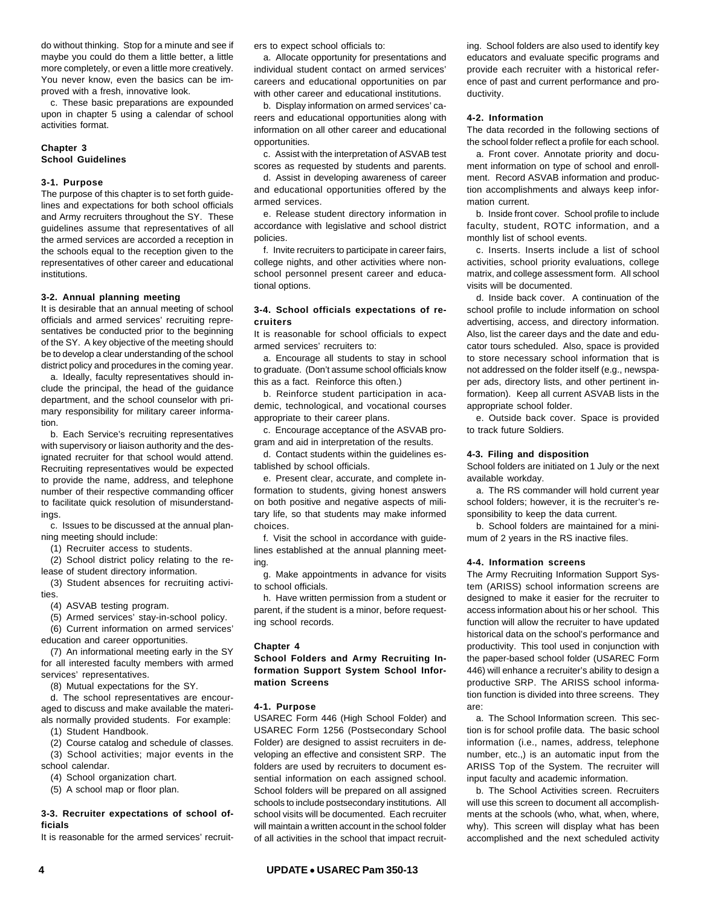do without thinking. Stop for a minute and see if maybe you could do them a little better, a little more completely, or even a little more creatively. You never know, even the basics can be improved with a fresh, innovative look.

c. These basic preparations are expounded upon in chapter 5 using a calendar of school activities format.

# **Chapter 3 School Guidelines**

### **3-1. Purpose**

The purpose of this chapter is to set forth guidelines and expectations for both school officials and Army recruiters throughout the SY. These guidelines assume that representatives of all the armed services are accorded a reception in the schools equal to the reception given to the representatives of other career and educational institutions.

#### **3-2. Annual planning meeting**

It is desirable that an annual meeting of school officials and armed services' recruiting representatives be conducted prior to the beginning of the SY. A key objective of the meeting should be to develop a clear understanding of the school district policy and procedures in the coming year.

a. Ideally, faculty representatives should include the principal, the head of the guidance department, and the school counselor with primary responsibility for military career information.

b. Each Service's recruiting representatives with supervisory or liaison authority and the designated recruiter for that school would attend. Recruiting representatives would be expected to provide the name, address, and telephone number of their respective commanding officer to facilitate quick resolution of misunderstandings.

c. Issues to be discussed at the annual planning meeting should include:

(1) Recruiter access to students.

(2) School district policy relating to the release of student directory information.

(3) Student absences for recruiting activities.

(4) ASVAB testing program.

(5) Armed services' stay-in-school policy. (6) Current information on armed services' education and career opportunities.

(7) An informational meeting early in the SY for all interested faculty members with armed services' representatives.

(8) Mutual expectations for the SY.

d. The school representatives are encouraged to discuss and make available the materials normally provided students. For example:

(1) Student Handbook.

(2) Course catalog and schedule of classes. (3) School activities; major events in the school calendar.

(4) School organization chart.

(5) A school map or floor plan.

## **3-3. Recruiter expectations of school officials**

It is reasonable for the armed services' recruit-

ers to expect school officials to:

a. Allocate opportunity for presentations and individual student contact on armed services' careers and educational opportunities on par with other career and educational institutions.

b. Display information on armed services' careers and educational opportunities along with information on all other career and educational opportunities.

c. Assist with the interpretation of ASVAB test scores as requested by students and parents.

d. Assist in developing awareness of career and educational opportunities offered by the armed services.

e. Release student directory information in accordance with legislative and school district policies.

f. Invite recruiters to participate in career fairs, college nights, and other activities where nonschool personnel present career and educational options.

# **3-4. School officials expectations of recruiters**

It is reasonable for school officials to expect armed services' recruiters to:

a. Encourage all students to stay in school to graduate. (Don't assume school officials know this as a fact. Reinforce this often.)

b. Reinforce student participation in academic, technological, and vocational courses appropriate to their career plans.

c. Encourage acceptance of the ASVAB program and aid in interpretation of the results.

d. Contact students within the guidelines established by school officials.

e. Present clear, accurate, and complete information to students, giving honest answers on both positive and negative aspects of military life, so that students may make informed choices.

f. Visit the school in accordance with guidelines established at the annual planning meeting.

g. Make appointments in advance for visits to school officials.

h. Have written permission from a student or parent, if the student is a minor, before requesting school records.

### **Chapter 4**

# **School Folders and Army Recruiting Information Support System School Information Screens**

#### **4-1. Purpose**

USAREC Form 446 (High School Folder) and USAREC Form 1256 (Postsecondary School Folder) are designed to assist recruiters in developing an effective and consistent SRP. The folders are used by recruiters to document essential information on each assigned school. School folders will be prepared on all assigned schools to include postsecondary institutions. All school visits will be documented. Each recruiter will maintain a written account in the school folder of all activities in the school that impact recruiting. School folders are also used to identify key educators and evaluate specific programs and provide each recruiter with a historical reference of past and current performance and productivity.

### **4-2. Information**

The data recorded in the following sections of the school folder reflect a profile for each school.

a. Front cover. Annotate priority and document information on type of school and enrollment. Record ASVAB information and production accomplishments and always keep information current.

b. Inside front cover. School profile to include faculty, student, ROTC information, and a monthly list of school events.

c. Inserts. Inserts include a list of school activities, school priority evaluations, college matrix, and college assessment form. All school visits will be documented.

d. Inside back cover. A continuation of the school profile to include information on school advertising, access, and directory information. Also, list the career days and the date and educator tours scheduled. Also, space is provided to store necessary school information that is not addressed on the folder itself (e.g., newspaper ads, directory lists, and other pertinent information). Keep all current ASVAB lists in the appropriate school folder.

e. Outside back cover. Space is provided to track future Soldiers.

#### **4-3. Filing and disposition**

School folders are initiated on 1 July or the next available workday.

a. The RS commander will hold current year school folders; however, it is the recruiter's responsibility to keep the data current.

b. School folders are maintained for a minimum of 2 years in the RS inactive files.

#### **4-4. Information screens**

The Army Recruiting Information Support System (ARISS) school information screens are designed to make it easier for the recruiter to access information about his or her school. This function will allow the recruiter to have updated historical data on the school's performance and productivity. This tool used in conjunction with the paper-based school folder (USAREC Form 446) will enhance a recruiter's ability to design a productive SRP. The ARISS school information function is divided into three screens. They are:

a. The School Information screen. This section is for school profile data. The basic school information (i.e., names, address, telephone number, etc.,) is an automatic input from the ARISS Top of the System. The recruiter will input faculty and academic information.

b. The School Activities screen. Recruiters will use this screen to document all accomplishments at the schools (who, what, when, where, why). This screen will display what has been accomplished and the next scheduled activity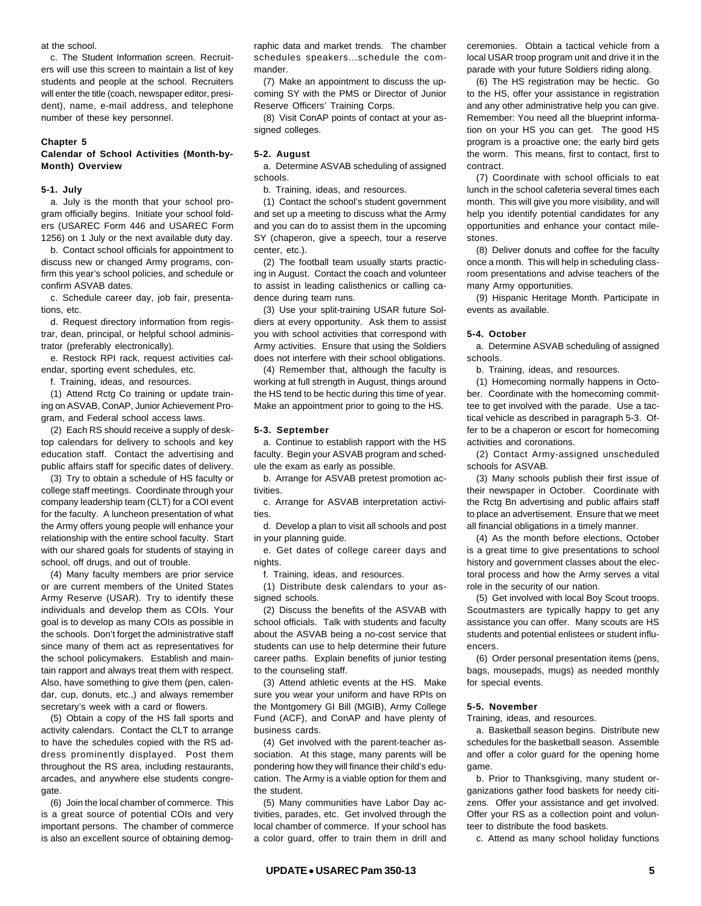at the school.

c. The Student Information screen. Recruiters will use this screen to maintain a list of key students and people at the school. Recruiters will enter the title (coach, newspaper editor, president), name, e-mail address, and telephone number of these key personnel.

#### **Chapter 5**

# **Calendar of School Activities (Month-by-Month) Overview**

### **5-1. July**

a. July is the month that your school program officially begins. Initiate your school folders (USAREC Form 446 and USAREC Form 1256) on 1 July or the next available duty day.

b. Contact school officials for appointment to discuss new or changed Army programs, confirm this year's school policies, and schedule or confirm ASVAB dates.

c. Schedule career day, job fair, presentations, etc.

d. Request directory information from registrar, dean, principal, or helpful school administrator (preferably electronically).

e. Restock RPI rack, request activities calendar, sporting event schedules, etc.

f. Training, ideas, and resources.

(1) Attend Rctg Co training or update training on ASVAB, ConAP, Junior Achievement Program, and Federal school access laws.

(2) Each RS should receive a supply of desktop calendars for delivery to schools and key education staff. Contact the advertising and public affairs staff for specific dates of delivery.

(3) Try to obtain a schedule of HS faculty or college staff meetings. Coordinate through your company leadership team (CLT) for a COI event for the faculty. A luncheon presentation of what the Army offers young people will enhance your relationship with the entire school faculty. Start with our shared goals for students of staving in school, off drugs, and out of trouble.

(4) Many faculty members are prior service or are current members of the United States Army Reserve (USAR). Try to identify these individuals and develop them as COIs. Your goal is to develop as many COIs as possible in the schools. Don't forget the administrative staff since many of them act as representatives for the school policymakers. Establish and maintain rapport and always treat them with respect. Also, have something to give them (pen, calendar, cup, donuts, etc.,) and always remember secretary's week with a card or flowers.

(5) Obtain a copy of the HS fall sports and activity calendars. Contact the CLT to arrange to have the schedules copied with the RS address prominently displayed. Post them throughout the RS area, including restaurants, arcades, and anywhere else students congregate.

(6) Join the local chamber of commerce. This is a great source of potential COIs and very important persons. The chamber of commerce is also an excellent source of obtaining demographic data and market trends. The chamber schedules speakers...schedule the commander.

(7) Make an appointment to discuss the upcoming SY with the PMS or Director of Junior Reserve Officers' Training Corps.

(8) Visit ConAP points of contact at your assigned colleges.

## **5-2. August**

a. Determine ASVAB scheduling of assigned schools.

b. Training, ideas, and resources.

(1) Contact the school's student government and set up a meeting to discuss what the Army and you can do to assist them in the upcoming SY (chaperon, give a speech, tour a reserve center, etc.).

(2) The football team usually starts practicing in August. Contact the coach and volunteer to assist in leading calisthenics or calling cadence during team runs.

(3) Use your split-training USAR future Soldiers at every opportunity. Ask them to assist you with school activities that correspond with Army activities. Ensure that using the Soldiers does not interfere with their school obligations.

(4) Remember that, although the faculty is working at full strength in August, things around the HS tend to be hectic during this time of year. Make an appointment prior to going to the HS.

#### **5-3. September**

a. Continue to establish rapport with the HS faculty. Begin your ASVAB program and schedule the exam as early as possible.

b. Arrange for ASVAB pretest promotion activities.

c. Arrange for ASVAB interpretation activities.

d. Develop a plan to visit all schools and post in your planning guide.

e. Get dates of college career days and nights.

f. Training, ideas, and resources.

(1) Distribute desk calendars to your assigned schools.

(2) Discuss the benefits of the ASVAB with school officials. Talk with students and faculty about the ASVAB being a no-cost service that students can use to help determine their future career paths. Explain benefits of junior testing to the counseling staff.

(3) Attend athletic events at the HS. Make sure you wear your uniform and have RPIs on the Montgomery GI Bill (MGIB), Army College Fund (ACF), and ConAP and have plenty of business cards.

(4) Get involved with the parent-teacher association. At this stage, many parents will be pondering how they will finance their child's education. The Army is a viable option for them and the student.

(5) Many communities have Labor Day activities, parades, etc. Get involved through the local chamber of commerce. If your school has a color guard, offer to train them in drill and ceremonies. Obtain a tactical vehicle from a local USAR troop program unit and drive it in the parade with your future Soldiers riding along.

(6) The HS registration may be hectic. Go to the HS, offer your assistance in registration and any other administrative help you can give. Remember: You need all the blueprint information on your HS you can get. The good HS program is a proactive one; the early bird gets the worm. This means, first to contact, first to contract.

(7) Coordinate with school officials to eat lunch in the school cafeteria several times each month. This will give you more visibility, and will help you identify potential candidates for any opportunities and enhance your contact milestones.

(8) Deliver donuts and coffee for the faculty once a month. This will help in scheduling classroom presentations and advise teachers of the many Army opportunities.

(9) Hispanic Heritage Month. Participate in events as available.

#### **5-4. October**

a. Determine ASVAB scheduling of assigned schools.

b. Training, ideas, and resources.

(1) Homecoming normally happens in October. Coordinate with the homecoming committee to get involved with the parade. Use a tactical vehicle as described in paragraph 5-3. Offer to be a chaperon or escort for homecoming activities and coronations.

(2) Contact Army-assigned unscheduled schools for ASVAB.

(3) Many schools publish their first issue of their newspaper in October. Coordinate with the Rctg Bn advertising and public affairs staff to place an advertisement. Ensure that we meet all financial obligations in a timely manner.

(4) As the month before elections, October is a great time to give presentations to school history and government classes about the electoral process and how the Army serves a vital role in the security of our nation.

(5) Get involved with local Boy Scout troops. Scoutmasters are typically happy to get any assistance you can offer. Many scouts are HS students and potential enlistees or student influencers.

(6) Order personal presentation items (pens, bags, mousepads, mugs) as needed monthly for special events.

#### **5-5. November**

Training, ideas, and resources.

a. Basketball season begins. Distribute new schedules for the basketball season. Assemble and offer a color guard for the opening home game.

b. Prior to Thanksgiving, many student organizations gather food baskets for needy citizens. Offer your assistance and get involved. Offer your RS as a collection point and volunteer to distribute the food baskets.

c. Attend as many school holiday functions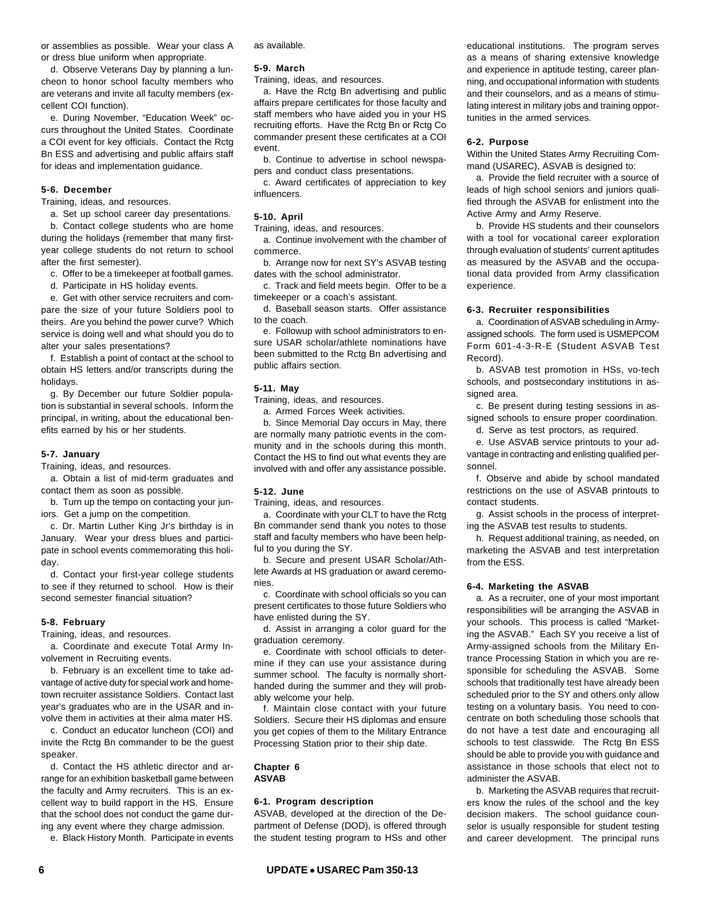or assemblies as possible. Wear your class A or dress blue uniform when appropriate.

d. Observe Veterans Day by planning a luncheon to honor school faculty members who are veterans and invite all faculty members (excellent COI function).

e. During November, "Education Week" occurs throughout the United States. Coordinate a COI event for key officials. Contact the Rctg Bn ESS and advertising and public affairs staff for ideas and implementation guidance.

# **5-6. December**

Training, ideas, and resources.

a. Set up school career day presentations.

b. Contact college students who are home during the holidays (remember that many firstyear college students do not return to school after the first semester).

c. Offer to be a timekeeper at football games.

d. Participate in HS holiday events.

e. Get with other service recruiters and compare the size of your future Soldiers pool to theirs. Are you behind the power curve? Which service is doing well and what should you do to alter your sales presentations?

f. Establish a point of contact at the school to obtain HS letters and/or transcripts during the holidays.

g. By December our future Soldier population is substantial in several schools. Inform the principal, in writing, about the educational benefits earned by his or her students.

### **5-7. January**

Training, ideas, and resources.

a. Obtain a list of mid-term graduates and contact them as soon as possible.

b. Turn up the tempo on contacting your juniors. Get a jump on the competition.

c. Dr. Martin Luther King Jr's birthday is in January. Wear your dress blues and participate in school events commemorating this holiday.

d. Contact your first-year college students to see if they returned to school. How is their second semester financial situation?

#### **5-8. February**

Training, ideas, and resources.

a. Coordinate and execute Total Army Involvement in Recruiting events.

b. February is an excellent time to take advantage of active duty for special work and hometown recruiter assistance Soldiers. Contact last year's graduates who are in the USAR and involve them in activities at their alma mater HS.

c. Conduct an educator luncheon (COI) and invite the Rctg Bn commander to be the guest speaker.

d. Contact the HS athletic director and arrange for an exhibition basketball game between the faculty and Army recruiters. This is an excellent way to build rapport in the HS. Ensure that the school does not conduct the game during any event where they charge admission.

e. Black History Month. Participate in events

as available.

### **5-9. March**

Training, ideas, and resources.

a. Have the Rctg Bn advertising and public affairs prepare certificates for those faculty and staff members who have aided you in your HS recruiting efforts. Have the Rctg Bn or Rctg Co commander present these certificates at a COI event.

b. Continue to advertise in school newspapers and conduct class presentations.

c. Award certificates of appreciation to key influencers.

#### **5-10. April**

Training, ideas, and resources.

a. Continue involvement with the chamber of commerce.

b. Arrange now for next SY's ASVAB testing dates with the school administrator.

c. Track and field meets begin. Offer to be a timekeeper or a coach's assistant.

d. Baseball season starts. Offer assistance to the coach.

e. Followup with school administrators to ensure USAR scholar/athlete nominations have been submitted to the Rctg Bn advertising and public affairs section.

#### **5-11. May**

Training, ideas, and resources.

a. Armed Forces Week activities.

b. Since Memorial Day occurs in May, there are normally many patriotic events in the community and in the schools during this month. Contact the HS to find out what events they are involved with and offer any assistance possible.

### **5-12. June**

Training, ideas, and resources.

a. Coordinate with your CLT to have the Rctg Bn commander send thank you notes to those staff and faculty members who have been helpful to you during the SY.

b. Secure and present USAR Scholar/Athlete Awards at HS graduation or award ceremonies.

c. Coordinate with school officials so you can present certificates to those future Soldiers who have enlisted during the SY.

d. Assist in arranging a color guard for the graduation ceremony.

e. Coordinate with school officials to determine if they can use your assistance during summer school. The faculty is normally shorthanded during the summer and they will probably welcome your help.

f. Maintain close contact with your future Soldiers. Secure their HS diplomas and ensure you get copies of them to the Military Entrance Processing Station prior to their ship date.

#### **Chapter 6 ASVAB**

#### **6-1. Program description**

ASVAB, developed at the direction of the Department of Defense (DOD), is offered through the student testing program to HSs and other educational institutions. The program serves as a means of sharing extensive knowledge and experience in aptitude testing, career planning, and occupational information with students and their counselors, and as a means of stimulating interest in military jobs and training opportunities in the armed services.

#### **6-2. Purpose**

Within the United States Army Recruiting Command (USAREC), ASVAB is designed to:

a. Provide the field recruiter with a source of leads of high school seniors and juniors qualified through the ASVAB for enlistment into the Active Army and Army Reserve.

b. Provide HS students and their counselors with a tool for vocational career exploration through evaluation of students' current aptitudes as measured by the ASVAB and the occupational data provided from Army classification experience.

#### **6-3. Recruiter responsibilities**

a. Coordination of ASVAB scheduling in Armyassigned schools. The form used is USMEPCOM Form 601-4-3-R-E (Student ASVAB Test Record).

b. ASVAB test promotion in HSs, vo-tech schools, and postsecondary institutions in assigned area.

c. Be present during testing sessions in assigned schools to ensure proper coordination. d. Serve as test proctors, as required.

e. Use ASVAB service printouts to your advantage in contracting and enlisting qualified personnel.

f. Observe and abide by school mandated restrictions on the use of ASVAB printouts to contact students.

g. Assist schools in the process of interpreting the ASVAB test results to students.

h. Request additional training, as needed, on marketing the ASVAB and test interpretation from the ESS.

### **6-4. Marketing the ASVAB**

a. As a recruiter, one of your most important responsibilities will be arranging the ASVAB in your schools. This process is called "Marketing the ASVAB." Each SY you receive a list of Army-assigned schools from the Military Entrance Processing Station in which you are responsible for scheduling the ASVAB. Some schools that traditionally test have already been scheduled prior to the SY and others only allow testing on a voluntary basis. You need to concentrate on both scheduling those schools that do not have a test date and encouraging all schools to test classwide. The Rctg Bn ESS should be able to provide you with guidance and assistance in those schools that elect not to administer the ASVAB.

b. Marketing the ASVAB requires that recruiters know the rules of the school and the key decision makers. The school guidance counselor is usually responsible for student testing and career development. The principal runs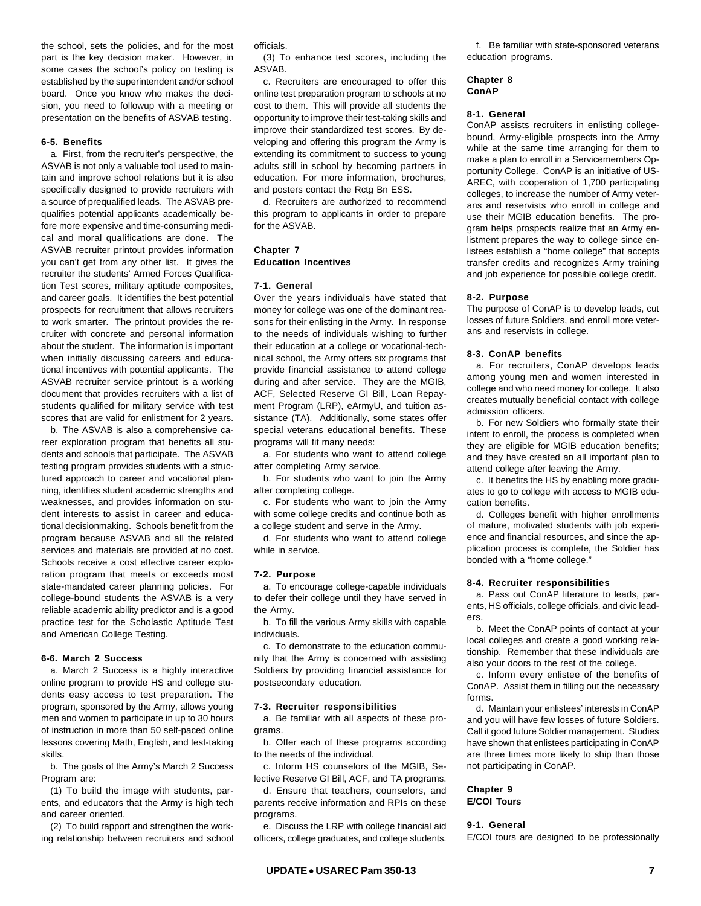the school, sets the policies, and for the most part is the key decision maker. However, in some cases the school's policy on testing is established by the superintendent and/or school board. Once you know who makes the decision, you need to followup with a meeting or presentation on the benefits of ASVAB testing.

## **6-5. Benefits**

a. First, from the recruiter's perspective, the ASVAB is not only a valuable tool used to maintain and improve school relations but it is also specifically designed to provide recruiters with a source of prequalified leads. The ASVAB prequalifies potential applicants academically before more expensive and time-consuming medical and moral qualifications are done. The ASVAB recruiter printout provides information you can't get from any other list. It gives the recruiter the students' Armed Forces Qualification Test scores, military aptitude composites, and career goals. It identifies the best potential prospects for recruitment that allows recruiters to work smarter. The printout provides the recruiter with concrete and personal information about the student. The information is important when initially discussing careers and educational incentives with potential applicants. The ASVAB recruiter service printout is a working document that provides recruiters with a list of students qualified for military service with test scores that are valid for enlistment for 2 years.

b. The ASVAB is also a comprehensive career exploration program that benefits all students and schools that participate. The ASVAB testing program provides students with a structured approach to career and vocational planning, identifies student academic strengths and weaknesses, and provides information on student interests to assist in career and educational decisionmaking. Schools benefit from the program because ASVAB and all the related services and materials are provided at no cost. Schools receive a cost effective career exploration program that meets or exceeds most state-mandated career planning policies. For college-bound students the ASVAB is a very reliable academic ability predictor and is a good practice test for the Scholastic Aptitude Test and American College Testing.

### **6-6. March 2 Success**

a. March 2 Success is a highly interactive online program to provide HS and college students easy access to test preparation. The program, sponsored by the Army, allows young men and women to participate in up to 30 hours of instruction in more than 50 self-paced online lessons covering Math, English, and test-taking skills.

b. The goals of the Army's March 2 Success Program are:

(1) To build the image with students, parents, and educators that the Army is high tech and career oriented.

(2) To build rapport and strengthen the working relationship between recruiters and school officials.

(3) To enhance test scores, including the ASVAB.

c. Recruiters are encouraged to offer this online test preparation program to schools at no cost to them. This will provide all students the opportunity to improve their test-taking skills and improve their standardized test scores. By developing and offering this program the Army is extending its commitment to success to young adults still in school by becoming partners in education. For more information, brochures, and posters contact the Rctg Bn ESS.

d. Recruiters are authorized to recommend this program to applicants in order to prepare for the ASVAB.

# **Chapter 7**

**Education Incentives**

## **7-1. General**

Over the years individuals have stated that money for college was one of the dominant reasons for their enlisting in the Army. In response to the needs of individuals wishing to further their education at a college or vocational-technical school, the Army offers six programs that provide financial assistance to attend college during and after service. They are the MGIB, ACF, Selected Reserve GI Bill, Loan Repayment Program (LRP), eArmyU, and tuition assistance (TA). Additionally, some states offer special veterans educational benefits. These programs will fit many needs:

a. For students who want to attend college after completing Army service.

b. For students who want to join the Army after completing college.

c. For students who want to join the Army with some college credits and continue both as a college student and serve in the Army.

d. For students who want to attend college while in service.

## **7-2. Purpose**

a. To encourage college-capable individuals to defer their college until they have served in the Army.

b. To fill the various Army skills with capable individuals.

c. To demonstrate to the education community that the Army is concerned with assisting Soldiers by providing financial assistance for postsecondary education.

### **7-3. Recruiter responsibilities**

a. Be familiar with all aspects of these programs.

b. Offer each of these programs according to the needs of the individual.

c. Inform HS counselors of the MGIB, Selective Reserve GI Bill, ACF, and TA programs.

d. Ensure that teachers, counselors, and parents receive information and RPIs on these programs.

e. Discuss the LRP with college financial aid officers, college graduates, and college students.

f. Be familiar with state-sponsored veterans education programs.

#### **Chapter 8 ConAP**

#### **8-1. General**

ConAP assists recruiters in enlisting collegebound, Army-eligible prospects into the Army while at the same time arranging for them to make a plan to enroll in a Servicemembers Opportunity College. ConAP is an initiative of US-AREC, with cooperation of 1,700 participating colleges, to increase the number of Army veterans and reservists who enroll in college and use their MGIB education benefits. The program helps prospects realize that an Army enlistment prepares the way to college since enlistees establish a "home college" that accepts transfer credits and recognizes Army training and job experience for possible college credit.

# **8-2. Purpose**

The purpose of ConAP is to develop leads, cut losses of future Soldiers, and enroll more veterans and reservists in college.

### **8-3. ConAP benefits**

a. For recruiters, ConAP develops leads among young men and women interested in college and who need money for college. It also creates mutually beneficial contact with college admission officers.

b. For new Soldiers who formally state their intent to enroll, the process is completed when they are eligible for MGIB education benefits; and they have created an all important plan to attend college after leaving the Army.

c. It benefits the HS by enabling more graduates to go to college with access to MGIB education benefits.

d. Colleges benefit with higher enrollments of mature, motivated students with job experience and financial resources, and since the application process is complete, the Soldier has bonded with a "home college."

### **8-4. Recruiter responsibilities**

a. Pass out ConAP literature to leads, parents, HS officials, college officials, and civic leaders.

b. Meet the ConAP points of contact at your local colleges and create a good working relationship. Remember that these individuals are also your doors to the rest of the college.

c. Inform every enlistee of the benefits of ConAP. Assist them in filling out the necessary forms.

d. Maintain your enlistees' interests in ConAP and you will have few losses of future Soldiers. Call it good future Soldier management. Studies have shown that enlistees participating in ConAP are three times more likely to ship than those not participating in ConAP.

## **Chapter 9 E/COI Tours**

# **9-1. General**

E/COI tours are designed to be professionally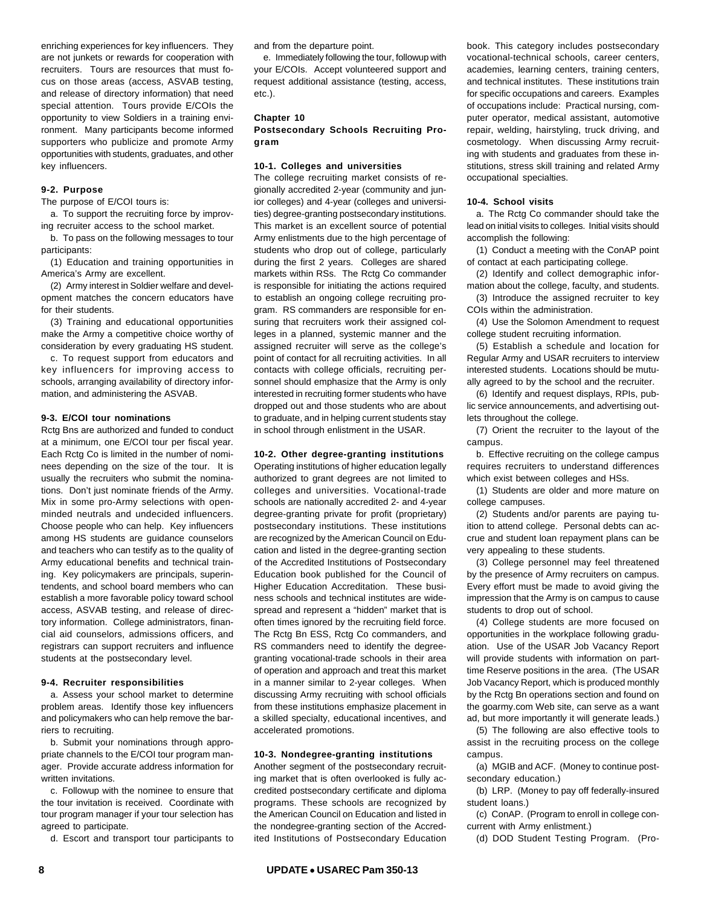enriching experiences for key influencers. They are not junkets or rewards for cooperation with recruiters. Tours are resources that must focus on those areas (access, ASVAB testing, and release of directory information) that need special attention. Tours provide E/COIs the opportunity to view Soldiers in a training environment. Many participants become informed supporters who publicize and promote Army opportunities with students, graduates, and other key influencers.

## **9-2. Purpose**

The purpose of E/COI tours is:

a. To support the recruiting force by improving recruiter access to the school market.

b. To pass on the following messages to tour participants:

(1) Education and training opportunities in America's Army are excellent.

(2) Army interest in Soldier welfare and development matches the concern educators have for their students.

(3) Training and educational opportunities make the Army a competitive choice worthy of consideration by every graduating HS student.

c. To request support from educators and key influencers for improving access to schools, arranging availability of directory information, and administering the ASVAB.

#### **9-3. E/COI tour nominations**

Rctg Bns are authorized and funded to conduct at a minimum, one E/COI tour per fiscal year. Each Rctg Co is limited in the number of nominees depending on the size of the tour. It is usually the recruiters who submit the nominations. Don't just nominate friends of the Army. Mix in some pro-Army selections with openminded neutrals and undecided influencers. Choose people who can help. Key influencers among HS students are guidance counselors and teachers who can testify as to the quality of Army educational benefits and technical training. Key policymakers are principals, superintendents, and school board members who can establish a more favorable policy toward school access, ASVAB testing, and release of directory information. College administrators, financial aid counselors, admissions officers, and registrars can support recruiters and influence students at the postsecondary level.

#### **9-4. Recruiter responsibilities**

a. Assess your school market to determine problem areas. Identify those key influencers and policymakers who can help remove the barriers to recruiting.

b. Submit your nominations through appropriate channels to the E/COI tour program manager. Provide accurate address information for written invitations.

c. Followup with the nominee to ensure that the tour invitation is received. Coordinate with tour program manager if your tour selection has agreed to participate.

d. Escort and transport tour participants to

and from the departure point.

e. Immediately following the tour, followup with your E/COIs. Accept volunteered support and request additional assistance (testing, access, etc.).

### **Chapter 10**

**Postsecondary Schools Recruiting Program**

#### **10-1. Colleges and universities**

The college recruiting market consists of regionally accredited 2-year (community and junior colleges) and 4-year (colleges and universities) degree-granting postsecondary institutions. This market is an excellent source of potential Army enlistments due to the high percentage of students who drop out of college, particularly during the first 2 years. Colleges are shared markets within RSs. The Rctg Co commander is responsible for initiating the actions required to establish an ongoing college recruiting program. RS commanders are responsible for ensuring that recruiters work their assigned colleges in a planned, systemic manner and the assigned recruiter will serve as the college's point of contact for all recruiting activities. In all contacts with college officials, recruiting personnel should emphasize that the Army is only interested in recruiting former students who have dropped out and those students who are about to graduate, and in helping current students stay in school through enlistment in the USAR.

# **10-2. Other degree-granting institutions**

Operating institutions of higher education legally authorized to grant degrees are not limited to colleges and universities. Vocational-trade schools are nationally accredited 2- and 4-year degree-granting private for profit (proprietary) postsecondary institutions. These institutions are recognized by the American Council on Education and listed in the degree-granting section of the Accredited Institutions of Postsecondary Education book published for the Council of Higher Education Accreditation. These business schools and technical institutes are widespread and represent a "hidden" market that is often times ignored by the recruiting field force. The Rctg Bn ESS, Rctg Co commanders, and RS commanders need to identify the degreegranting vocational-trade schools in their area of operation and approach and treat this market in a manner similar to 2-year colleges. When discussing Army recruiting with school officials from these institutions emphasize placement in a skilled specialty, educational incentives, and accelerated promotions.

#### **10-3. Nondegree-granting institutions**

Another segment of the postsecondary recruiting market that is often overlooked is fully accredited postsecondary certificate and diploma programs. These schools are recognized by the American Council on Education and listed in the nondegree-granting section of the Accredited Institutions of Postsecondary Education book. This category includes postsecondary vocational-technical schools, career centers, academies, learning centers, training centers, and technical institutes. These institutions train for specific occupations and careers. Examples of occupations include: Practical nursing, computer operator, medical assistant, automotive repair, welding, hairstyling, truck driving, and cosmetology. When discussing Army recruiting with students and graduates from these institutions, stress skill training and related Army occupational specialties.

#### **10-4. School visits**

a. The Rctg Co commander should take the lead on initial visits to colleges. Initial visits should accomplish the following:

(1) Conduct a meeting with the ConAP point of contact at each participating college.

(2) Identify and collect demographic information about the college, faculty, and students.

(3) Introduce the assigned recruiter to key COIs within the administration.

(4) Use the Solomon Amendment to request college student recruiting information.

(5) Establish a schedule and location for Regular Army and USAR recruiters to interview interested students. Locations should be mutually agreed to by the school and the recruiter.

(6) Identify and request displays, RPIs, public service announcements, and advertising outlets throughout the college.

(7) Orient the recruiter to the layout of the campus.

b. Effective recruiting on the college campus requires recruiters to understand differences which exist between colleges and HSs.

(1) Students are older and more mature on college campuses.

(2) Students and/or parents are paying tuition to attend college. Personal debts can accrue and student loan repayment plans can be very appealing to these students.

(3) College personnel may feel threatened by the presence of Army recruiters on campus. Every effort must be made to avoid giving the impression that the Army is on campus to cause students to drop out of school.

(4) College students are more focused on opportunities in the workplace following graduation. Use of the USAR Job Vacancy Report will provide students with information on parttime Reserve positions in the area. (The USAR Job Vacancy Report, which is produced monthly by the Rctg Bn operations section and found on the goarmy.com Web site, can serve as a want ad, but more importantly it will generate leads.)

(5) The following are also effective tools to assist in the recruiting process on the college campus.

(a) MGIB and ACF. (Money to continue postsecondary education.)

(b) LRP. (Money to pay off federally-insured student loans.)

(c) ConAP. (Program to enroll in college concurrent with Army enlistment.)

(d) DOD Student Testing Program. (Pro-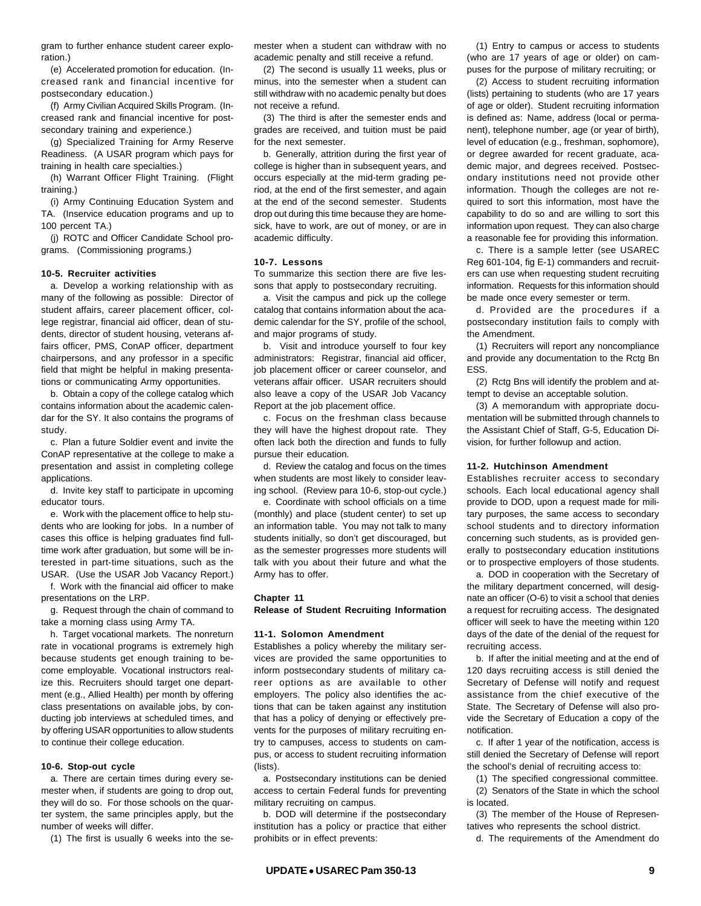gram to further enhance student career exploration.)

(e) Accelerated promotion for education. (Increased rank and financial incentive for postsecondary education.)

(f) Army Civilian Acquired Skills Program. (Increased rank and financial incentive for postsecondary training and experience.)

(g) Specialized Training for Army Reserve Readiness. (A USAR program which pays for training in health care specialties.)

(h) Warrant Officer Flight Training. (Flight training.)

(i) Army Continuing Education System and TA. (Inservice education programs and up to 100 percent TA.)

(j) ROTC and Officer Candidate School programs. (Commissioning programs.)

#### **10-5. Recruiter activities**

a. Develop a working relationship with as many of the following as possible: Director of student affairs, career placement officer, college registrar, financial aid officer, dean of students, director of student housing, veterans affairs officer, PMS, ConAP officer, department chairpersons, and any professor in a specific field that might be helpful in making presentations or communicating Army opportunities.

b. Obtain a copy of the college catalog which contains information about the academic calendar for the SY. It also contains the programs of study.

c. Plan a future Soldier event and invite the ConAP representative at the college to make a presentation and assist in completing college applications.

d. Invite key staff to participate in upcoming educator tours.

e. Work with the placement office to help students who are looking for jobs. In a number of cases this office is helping graduates find fulltime work after graduation, but some will be interested in part-time situations, such as the USAR. (Use the USAR Job Vacancy Report.)

f. Work with the financial aid officer to make presentations on the LRP.

g. Request through the chain of command to take a morning class using Army TA.

h. Target vocational markets. The nonreturn rate in vocational programs is extremely high because students get enough training to become employable. Vocational instructors realize this. Recruiters should target one department (e.g., Allied Health) per month by offering class presentations on available jobs, by conducting job interviews at scheduled times, and by offering USAR opportunities to allow students to continue their college education.

### **10-6. Stop-out cycle**

a. There are certain times during every semester when, if students are going to drop out, they will do so. For those schools on the quarter system, the same principles apply, but the number of weeks will differ.

(1) The first is usually 6 weeks into the se-

mester when a student can withdraw with no academic penalty and still receive a refund.

(2) The second is usually 11 weeks, plus or minus, into the semester when a student can still withdraw with no academic penalty but does not receive a refund.

(3) The third is after the semester ends and grades are received, and tuition must be paid for the next semester.

b. Generally, attrition during the first year of college is higher than in subsequent years, and occurs especially at the mid-term grading period, at the end of the first semester, and again at the end of the second semester. Students drop out during this time because they are homesick, have to work, are out of money, or are in academic difficulty.

#### **10-7. Lessons**

To summarize this section there are five lessons that apply to postsecondary recruiting.

a. Visit the campus and pick up the college catalog that contains information about the academic calendar for the SY, profile of the school, and major programs of study.

b. Visit and introduce yourself to four key administrators: Registrar, financial aid officer, job placement officer or career counselor, and veterans affair officer. USAR recruiters should also leave a copy of the USAR Job Vacancy Report at the job placement office.

c. Focus on the freshman class because they will have the highest dropout rate. They often lack both the direction and funds to fully pursue their education.

d. Review the catalog and focus on the times when students are most likely to consider leaving school. (Review para 10-6, stop-out cycle.)

e. Coordinate with school officials on a time (monthly) and place (student center) to set up an information table. You may not talk to many students initially, so don't get discouraged, but as the semester progresses more students will talk with you about their future and what the Army has to offer.

#### **Chapter 11**

**Release of Student Recruiting Information**

#### **11-1. Solomon Amendment**

Establishes a policy whereby the military services are provided the same opportunities to inform postsecondary students of military career options as are available to other employers. The policy also identifies the actions that can be taken against any institution that has a policy of denying or effectively prevents for the purposes of military recruiting entry to campuses, access to students on campus, or access to student recruiting information (lists).

a. Postsecondary institutions can be denied access to certain Federal funds for preventing military recruiting on campus.

b. DOD will determine if the postsecondary institution has a policy or practice that either prohibits or in effect prevents:

(1) Entry to campus or access to students (who are 17 years of age or older) on campuses for the purpose of military recruiting; or

(2) Access to student recruiting information (lists) pertaining to students (who are 17 years of age or older). Student recruiting information is defined as: Name, address (local or permanent), telephone number, age (or year of birth), level of education (e.g., freshman, sophomore), or degree awarded for recent graduate, academic major, and degrees received. Postsecondary institutions need not provide other information. Though the colleges are not required to sort this information, most have the capability to do so and are willing to sort this information upon request. They can also charge a reasonable fee for providing this information.

c. There is a sample letter (see USAREC Reg 601-104, fig E-1) commanders and recruiters can use when requesting student recruiting information. Requests for this information should be made once every semester or term.

d. Provided are the procedures if a postsecondary institution fails to comply with the Amendment.

(1) Recruiters will report any noncompliance and provide any documentation to the Rctg Bn ESS.

(2) Rctg Bns will identify the problem and attempt to devise an acceptable solution.

(3) A memorandum with appropriate documentation will be submitted through channels to the Assistant Chief of Staff, G-5, Education Division, for further followup and action.

# **11-2. Hutchinson Amendment**

Establishes recruiter access to secondary schools. Each local educational agency shall provide to DOD, upon a request made for military purposes, the same access to secondary school students and to directory information concerning such students, as is provided generally to postsecondary education institutions or to prospective employers of those students.

a. DOD in cooperation with the Secretary of the military department concerned, will designate an officer (O-6) to visit a school that denies a request for recruiting access. The designated officer will seek to have the meeting within 120 days of the date of the denial of the request for recruiting access.

b. If after the initial meeting and at the end of 120 days recruiting access is still denied the Secretary of Defense will notify and request assistance from the chief executive of the State. The Secretary of Defense will also provide the Secretary of Education a copy of the notification.

c. If after 1 year of the notification, access is still denied the Secretary of Defense will report the school's denial of recruiting access to:

(1) The specified congressional committee.

(2) Senators of the State in which the school is located.

(3) The member of the House of Representatives who represents the school district.

d. The requirements of the Amendment do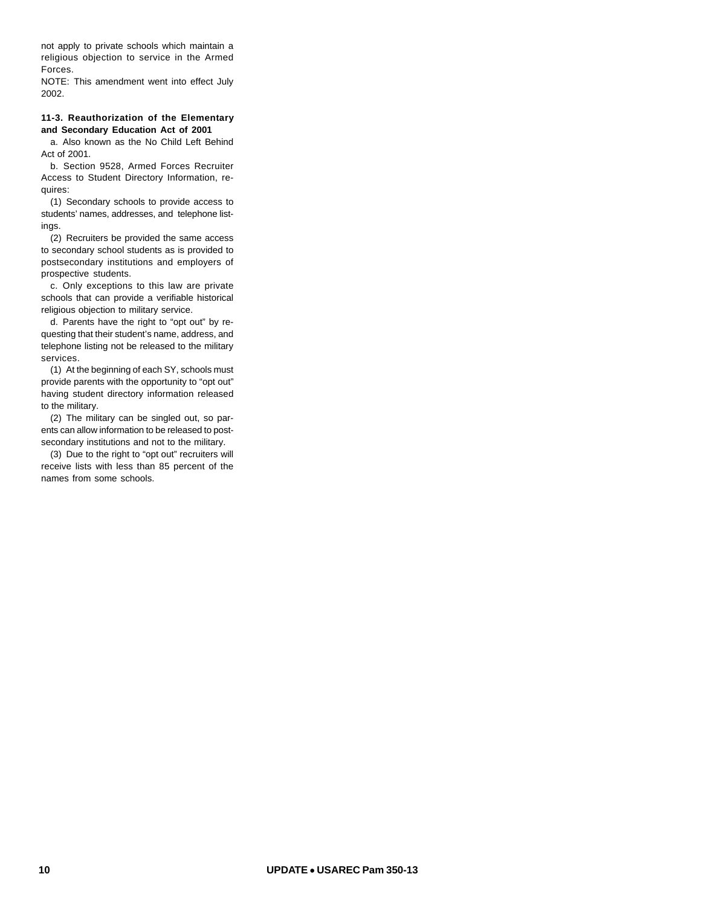not apply to private schools which maintain a religious objection to service in the Armed Forces.

NOTE: This amendment went into effect July 2002.

# **11-3. Reauthorization of the Elementary and Secondary Education Act of 2001**

a. Also known as the No Child Left Behind Act of 2001.

b. Section 9528, Armed Forces Recruiter Access to Student Directory Information, requires:

(1) Secondary schools to provide access to students' names, addresses, and telephone listings.

(2) Recruiters be provided the same access to secondary school students as is provided to postsecondary institutions and employers of prospective students.

c. Only exceptions to this law are private schools that can provide a verifiable historical religious objection to military service.

d. Parents have the right to "opt out" by requesting that their student's name, address, and telephone listing not be released to the military services.

(1) At the beginning of each SY, schools must provide parents with the opportunity to "opt out" having student directory information released to the military.

(2) The military can be singled out, so parents can allow information to be released to postsecondary institutions and not to the military.

(3) Due to the right to "opt out" recruiters will receive lists with less than 85 percent of the names from some schools.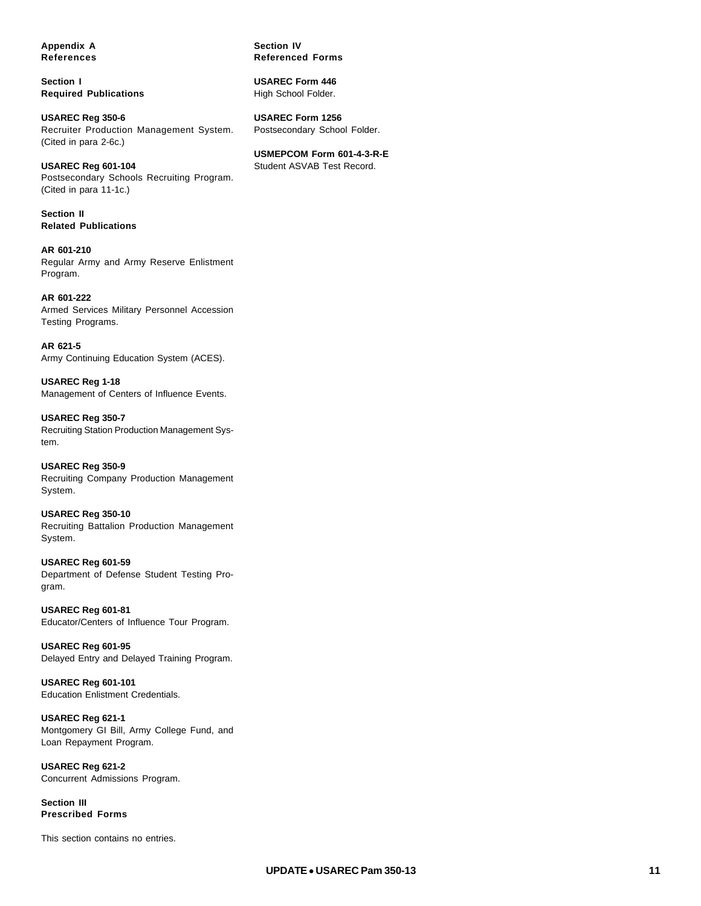**Appendix A References**

**Section I Required Publications**

**USAREC Reg 350-6** Recruiter Production Management System. (Cited in para 2-6c.)

**USAREC Reg 601-104** Postsecondary Schools Recruiting Program. (Cited in para 11-1c.)

**Section II Related Publications**

**AR 601-210** Regular Army and Army Reserve Enlistment Program.

**AR 601-222** Armed Services Military Personnel Accession Testing Programs.

**AR 621-5** Army Continuing Education System (ACES).

**USAREC Reg 1-18** Management of Centers of Influence Events.

**USAREC Reg 350-7** Recruiting Station Production Management System.

**USAREC Reg 350-9** Recruiting Company Production Management System.

**USAREC Reg 350-10** Recruiting Battalion Production Management System.

**USAREC Reg 601-59** Department of Defense Student Testing Program.

**USAREC Reg 601-81** Educator/Centers of Influence Tour Program.

**USAREC Reg 601-95** Delayed Entry and Delayed Training Program.

**USAREC Reg 601-101** Education Enlistment Credentials.

**USAREC Reg 621-1** Montgomery GI Bill, Army College Fund, and Loan Repayment Program.

**USAREC Reg 621-2** Concurrent Admissions Program.

**Section III Prescribed Forms**

This section contains no entries.

**Section IV Referenced Forms**

**USAREC Form 446** High School Folder.

**USAREC Form 1256** Postsecondary School Folder.

**USMEPCOM Form 601-4-3-R-E** Student ASVAB Test Record.